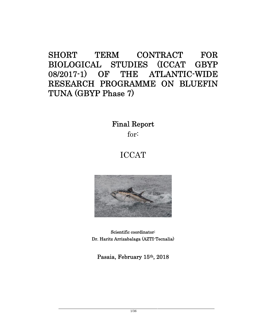# **SHORT TERM CONTRACT FOR BIOLOGICAL STUDIES (ICCAT GBYP 08/2017-1) OF THE ATLANTIC-WIDE RESEARCH PROGRAMME ON BLUEFIN TUNA (GBYP Phase 7)**

**Final Report**

for:

# ICCAT



**Scientific coordinator: Dr. Haritz Arrizabalaga (AZTI-Tecnalia)**

**Pasaia, February 15th, 2018**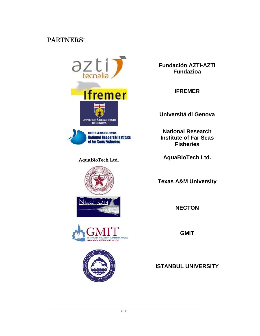## **PARTNERS:**



**Fisheries Research Agency National Research Institute** of Far Seas Fisheries



**Fundación AZTI-AZTI Fundazioa**

**IFREMER**

**Universitá di Genova**

**National Research Institute of Far Seas Fisheries**

**AquaBioTech Ltd. AquaBioTech Ltd.**

**Texas A&M University**

**NECTON**

**GMIT**

**ISTANBUL UNIVERSITY**



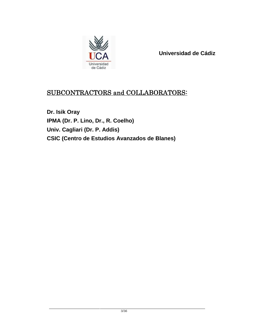

**Universidad de Cádiz**

## **SUBCONTRACTORS and COLLABORATORS:**

**Dr. Isik Oray IPMA (Dr. P. Lino, Dr., R. Coelho) Univ. Cagliari (Dr. P. Addis) CSIC (Centro de Estudios Avanzados de Blanes)**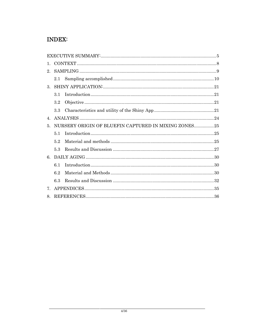## **INDEX:**

| 1.                             |         |                                                      |  |
|--------------------------------|---------|------------------------------------------------------|--|
| 2.                             |         |                                                      |  |
|                                |         |                                                      |  |
| 3.                             |         |                                                      |  |
|                                | 3.1     |                                                      |  |
|                                | $3.2\,$ |                                                      |  |
|                                | 3.3     |                                                      |  |
| $4_{\cdot}$                    |         |                                                      |  |
| 5.                             |         | NURSERY ORIGIN OF BLUEFIN CAPTURED IN MIXING ZONES25 |  |
|                                | 5.1     |                                                      |  |
|                                | 5.2     |                                                      |  |
|                                | 5.3     |                                                      |  |
| 6.                             |         |                                                      |  |
|                                | 6.1     |                                                      |  |
|                                | 6.2     |                                                      |  |
|                                | 6.3     |                                                      |  |
| $7_{\scriptscriptstyle{\sim}}$ |         |                                                      |  |
| 8.                             |         |                                                      |  |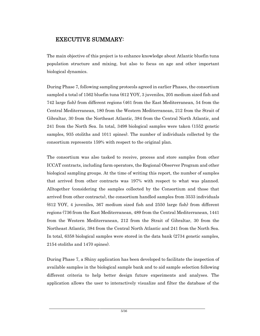## **EXECUTIVE SUMMARY:**

The main objective of this project is to enhance knowledge about Atlantic bluefin tuna population structure and mixing, but also to focus on age and other important biological dynamics.

During Phase 7, following sampling protocols agreed in earlier Phases, the consortium sampled a total of 1562 bluefin tuna (612 YOY, 3 juveniles, 205 medium sized fish and 742 large fish) from different regions (461 from the East Mediterranean, 54 from the Central Mediterranean, 180 from the Western Mediterranean, 212 from the Strait of Gibraltar, 30 from the Northeast Atlantic, 384 from the Central North Atlantic, and 241 from the North Sea. In total, 3498 biological samples were taken (1552 genetic samples, 935 otoliths and 1011 spines). The number of individuals collected by the consortium represents 159% with respect to the original plan.

The consortium was also tasked to receive, process and store samples from other ICCAT contracts, including farm operators, the Regional Observer Program and other biological sampling groups. At the time of writing this report, the number of samples that arrived from other contracts was 197% with respect to what was planned. Alltogether (considering the samples collected by the Consortium and those that arrived from other contracts), the consortium handled samples from 3533 individuals (612 YOY, 4 juveniles, 367 medium sized fish and 2550 large fish) from different regions (736 from the East Mediterranean, 489 from the Central Mediterranean, 1441 from the Western Mediterranean, 212 from the Strait of Gibraltar, 30 from the Northeast Atlantic, 384 from the Central North Atlantic and 241 from the North Sea. In total, 6358 biological samples were stored in the data bank (2734 genetic samples, 2154 otoliths and 1470 spines).

During Phase 7, a Shiny application has been developed to facilitate the inspection of available samples in the biological sample bank and to aid sample selection following different criteria to help better design future experiments and analyses. The application allows the user to interactively visualize and filter the database of the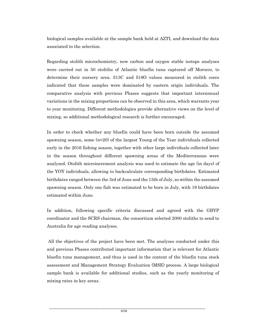biological samples available at the sample bank held at AZTI, and download the data associated to the selection.

Regarding otolith microchemistry, new carbon and oxygen stable isotope analyses were carried out in 50 otoliths of Atlantic bluefin tuna captured off Morocco, to determine their nursery area. δ13C and δ18O values measured in otolith cores indicated that these samples were dominated by eastern origin individuals. The comparative analysis with previous Phases suggests that important interannual variations in the mixing proportions can be observed in this area, which warrants year to year monitoring. Different methodologies provide alternative views on the level of mixing, so additional methodological research is further encouraged.

In order to check whether any bluefin could have been born outside the assumed spawning season, some (n=20) of the largest Young of the Year individuals collected early in the 2016 fishing season, together with other large individuals collected later in the season throughout different spawning areas of the Mediterranean were analyzed. Otolith microincrement analysis was used to estimate the age (in days) of the YOY individuals, allowing to backcalculate corresponding birthdates. Estimated birthdates ranged between the 3rd of June and the 13th of July, so within the assumed spawning season. Only one fish was estimated to be born in July, with 19 birthdates estimated within June.

In addition, following specific criteria discussed and agreed with the GBYP coordinator and the SCRS chairman, the consortium selected 2000 otoliths to send to Australia for age reading analyses.

All the objectives of the project have been met. The analyses conducted under this and previous Phases contributed important information that is relevant for Atlantic bluefin tuna management, and thus is used in the context of the bluefin tuna stock assessment and Management Strategy Evaluation (MSE) process. A large biological sample bank is available for additional studies, such as the yearly monitoring of mixing rates in key areas.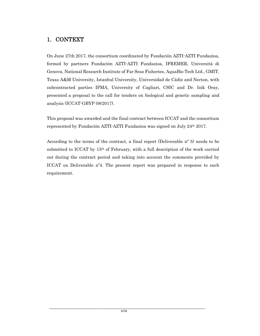## **1. CONTEXT**

On June 27th 2017, the consortium coordinated by Fundación AZTI-AZTI Fundazioa, formed by partners Fundación AZTI-AZTI Fundazioa, IFREMER, Universitá di Genova, National Research Institute of Far Seas Fisheries, AquaBio Tech Ltd., GMIT, Texas A&M University, Istanbul University, Universidad de Cádiz and Necton, with subcontracted parties IPMA, University of Cagliari, CSIC and Dr. Isik Oray, presented a proposal to the call for tenders on biological and genetic sampling and analysis (ICCAT-GBYP 08/2017).

This proposal was awarded and the final contract between ICCAT and the consortium represented by Fundación AZTI-AZTI Fundazioa was signed on July 24th 2017.

According to the terms of the contract, a final report (Deliverable nº 5) needs to be submitted to ICCAT by 15th of February, with a full description of the work carried out during the contract period and taking into account the comments provided by ICCAT on Deliverable nº4. The present report was prepared in response to such requirement.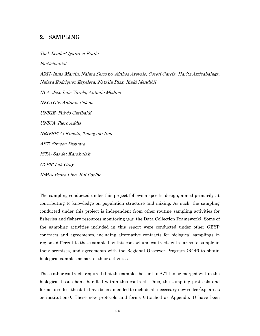## **2. SAMPLING**

*Task Leader: Igaratza Fraile Participants: AZTI: Inma Martin, Naiara Serrano, Ainhoa Arevalo, Goreti Garcia, Haritz Arrizabalaga, Naiara Rodriguez-Ezpeleta, Natalia Diaz, Iñaki Mendibil UCA: Jose Luis Varela, Antonio Medina NECTON: Antonio Celona UNIGE: Fulvio Garibaldi UNICA: Piero Addis NRIFSF: Ai Kimoto, Tomoyuki Itoh ABT: Simeon Deguara ISTA: Saadet Karakulak CYPR: Isik Oray IPMA: Pedro Lino, Rui Coelho*

The sampling conducted under this project follows a specific design, aimed primarily at contributing to knowledge on population structure and mixing. As such, the sampling conducted under this project is independent from other routine sampling activities for fisheries and fishery resources monitoring (e.g. the Data Collection Framework). Some of the sampling activities included in this report were conducted under other GBYP contracts and agreements, including alternative contracts for biological samplings in regions different to those sampled by this consortium, contracts with farms to sample in their premises, and agreements with the Regional Observer Program (ROP) to obtain biological samples as part of their activities.

These other contracts required that the samples be sent to AZTI to be merged within the biological tissue bank handled within this contract. Thus, the sampling protocols and forms to collect the data have been amended to include all necessary new codes (e.g. areas or institutions). These new protocols and forms (attached as Appendix 1) have been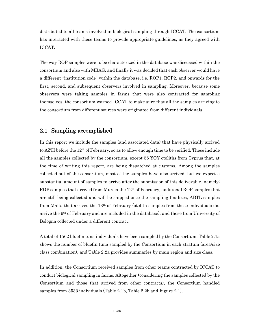distributed to all teams involved in biological sampling through ICCAT. The consortium has interacted with these teams to provide appropriate guidelines, as they agreed with ICCAT.

The way ROP samples were to be characterized in the database was discussed within the consortium and also with MRAG, and finally it was decided that each observer would have a different "institution code" within the database, i.e. ROP1, ROP2, and onwards for the first, second, and subsequent observers involved in sampling. Moreover, because some observers were taking samples in farms that were also contracted for sampling themselves, the consortium warned ICCAT to make sure that all the samples arriving to the consortium from different sources were originated from different individuals.

## **2.1 Sampling accomplished**

In this report we include the samples (and associated data) that have physically arrived to AZTI before the  $12<sup>th</sup>$  of February, so as to allow enough time to be verified. These include all the samples collected by the consortium, except 55 YOY otoliths from Cyprus that, at the time of writing this report, are being dispatched at customs. Among the samples collected out of the consortium, most of the samples have also arrived, but we expect a substantial amount of samples to arrive after the submission of this deliverable, namely: ROP samples that arrived from Murcia the 12<sup>th</sup> of February, additional ROP samples that are still being collected and will be shipped once the sampling finalizes, ABTL samples from Malta that arrived the  $13<sup>th</sup>$  of February (otolith samples from these individuals did arrive the 9<sup>th</sup> of February and are included in the database), and those from University of Bologna collected under a different contract.

A total of 1562 bluefin tuna individuals have been sampled by the Consortium. Table 2.1a shows the number of bluefin tuna sampled by the Consortium in each stratum (area/size class combination), and Table 2.2a provides summaries by main region and size class.

In addition, the Consortium received samples from other teams contracted by ICCAT to conduct biological sampling in farms. Altogether (considering the samples collected by the Consortium and those that arrived from other contracts), the Consortium handled samples from 3533 individuals (Table 2.1b, Table 2.2b and Figure 2.1).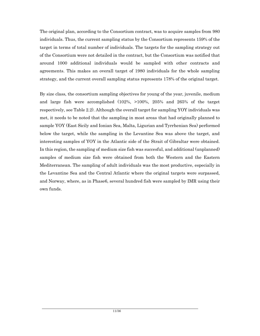The original plan, according to the Consortium contract, was to acquire samples from 980 individuals. Thus, the current sampling status by the Consortium represents 159% of the target in terms of total number of individuals. The targets for the sampling strategy out of the Consortium were not detailed in the contract, but the Consortium was notified that around 1000 additional individuals would be sampled with other contracts and agreements. This makes an overall target of 1980 individuals for the whole sampling strategy, and the current overall sampling status represents 178% of the original target.

By size class, the consortium sampling objectives for young of the year, juvenile, medium and large fish were accomplished (102%, >100%, 205% and 265% of the target respectively, see Table 2.2). Although the overall target for sampling YOY individuals was met, it needs to be noted that the sampling in most areas that had originally planned to sample YOY (East Sicily and Ionian Sea, Malta, Ligurian and Tyrrhenian Sea) performed below the target, while the sampling in the Levantine Sea was above the target, and interesting samples of YOY in the Atlantic side of the Strait of Gibraltar were obtained. In this region, the sampling of medium size fish was succesful, and additional (unplanned) samples of medium size fish were obtained from both the Western and the Eastern Mediterranean. The sampling of adult individuals was the most productive, especially in the Levantine Sea and the Central Atlantic where the original targets were surpassed, and Norway, where, as in Phase6, several hundred fish were sampled by IMR using their own funds.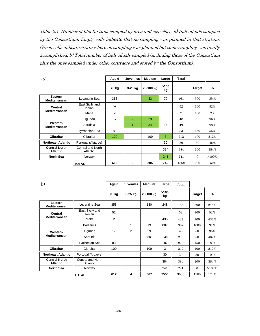*Table 2.1. Number of bluefin tuna sampled by area and size class. a) Individuals sampled by the Consortium. Empty cells indicate that no sampling was planned in that stratum. Green cells indicate strata where no sampling was planned but some sampling was finally accomplished. b) Total number of individuals sampled (including those of the Consortium plus the ones sampled under other contracts and stored by the Consortium).*

| $\alpha$                                |                               | Age 0    | <b>Juveniles</b> | <b>Medium</b> | Large      | Total          |               |          |
|-----------------------------------------|-------------------------------|----------|------------------|---------------|------------|----------------|---------------|----------|
|                                         |                               | $<$ 3 kg | 3-25 kg          | 25-100 kg     | >100<br>kg |                | <b>Target</b> | %        |
| Eastern<br>Mediterranean                | Levantine Sea                 | 358      |                  | 33            | 70         | 461            | 300           | 154%     |
| Central                                 | East Sicily and<br>Ionian     | 52       |                  |               |            | 52             | 100           | 52%      |
| <b>Mediterranean</b>                    | Malta                         | 2        |                  |               |            | $\overline{2}$ | 100           | $2\%$    |
|                                         | Ligurian                      | 17       | $\overline{2}$   | 29            |            | 48             | 50            | 96%      |
| Western<br>Mediterranean                | Sardinia                      |          | 1                | 34            | 14         | 49             | 50            | 98%      |
|                                         | <b>Tyrrhenian Sea</b>         | 83       |                  |               |            | 83             | 150           | 55%      |
| <b>Gibraltar</b>                        | Gibraltar                     | 100      |                  | 109           | 3          | 212            | 100           | 212%     |
| <b>Northeast Atlantic</b>               | Portugal (Algarve)            |          |                  |               | 30         | 30             | 30            | 100%     |
| <b>Central North</b><br><b>Atlantic</b> | Central and North<br>Atlantic |          |                  |               | 384        | 384            | 100           | 384%     |
| <b>North Sea</b>                        | Norway                        |          |                  |               | 241        | 241            | $\Omega$      | $>100\%$ |
|                                         | <b>TOTAL</b>                  | 612      | 3                | 205           | 742        | 1562           | 980           | 159%     |

| $\mathbf{b}$                            |                               | Age 0          | <b>Juveniles</b> | <b>Medium</b> | Large      | Total |               |          |
|-----------------------------------------|-------------------------------|----------------|------------------|---------------|------------|-------|---------------|----------|
|                                         |                               | $<$ 3 kg       | 3-25 kg          | 25-100 kg     | >100<br>kg |       | <b>Target</b> | %        |
| Eastern<br>Mediterranean                | Levantine Sea                 | 358            |                  | 130           | 248        | 736   | 300           | 245%     |
| <b>Central</b>                          | East Sicily and<br>Ionian     | 52             |                  |               |            | 52    | 100           | 52%      |
| Mediterranean                           | Malta                         | $\overline{2}$ |                  |               | 435        | 437   | 100           | 437%     |
|                                         | <b>Balearics</b>              |                | 1                | 19            | 887        | 907   | 1000          | 91%      |
| Western                                 | Ligurian                      | 17             | 2                | 29            |            | 48    | 50            | 96%      |
| Mediterranean                           | Sardinia                      |                | 1                | 80            | 135        | 216   | 50            | 432%     |
|                                         | <b>Tyrrhenian Sea</b>         | 83             |                  |               | 187        | 270   | 150           | 180%     |
| <b>Gibraltar</b>                        | Gibraltar                     | 100            |                  | 109           | 3          | 212   | 100           | 212%     |
| <b>Northeast Atlantic</b>               | Portugal (Algarve)            |                |                  |               | 30         | 30    | 30            | 100%     |
| <b>Central North</b><br><b>Atlantic</b> | Central and North<br>Atlantic |                |                  |               | 384        | 384   | 100           | 384%     |
| <b>North Sea</b>                        | Norway                        |                |                  |               | 241        | 241   | $\mathbf{0}$  | $>100\%$ |
|                                         | <b>TOTAL</b>                  | 612            | 4                | 367           | 2550       | 3533  | 1980          | 178%     |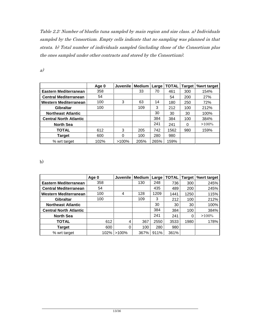*Table 2.2: Number of bluefin tuna sampled by main region and size class. a) Individuals sampled by the Consortium. Empty cells indicate that no sampling was planned in that strata. b) Total number of individuals sampled (including those of the Consortium plus the ones sampled under other contracts and stored by the Consortium).*

|                               | Age 0 | <b>Juvenile</b> | <b>Medium</b> | Large I | <b>TOTAL</b> | Target | %wrt target |
|-------------------------------|-------|-----------------|---------------|---------|--------------|--------|-------------|
| Eastern Mediterranean         | 358   |                 | 33            | 70      | 461          | 300    | 154%        |
| <b>Central Mediterranean</b>  | 54    |                 |               |         | 54           | 200    | 27%         |
| Western Mediterranean         | 100   | 3               | 63            | 14      | 180          | 250    | 72%         |
| <b>Gibraltar</b>              | 100   |                 | 109           | 3       | 212          | 100    | 212%        |
| <b>Northeast Atlantic</b>     |       |                 |               | 30      | 30           | 30     | 100%        |
| <b>Central North Atlantic</b> |       |                 |               | 384     | 384          | 100    | 384%        |
| <b>North Sea</b>              |       |                 |               | 241     | 241          | 0      | $>100\%$    |
| <b>TOTAL</b>                  | 612   | 3               | 205           | 742     | 1562         | 980    | 159%        |
| <b>Target</b>                 | 600   | 0               | 100           | 280     | 980          |        |             |
| % wrt target                  | 102%  | $>100\%$        | 205%          | 265%    | 159%         |        |             |

*a)*

b)

|                               | Age 0 | <b>Juvenile</b> | <b>Medium</b> | Large | <b>TOTAL</b> | Tarqet | %wrt target |
|-------------------------------|-------|-----------------|---------------|-------|--------------|--------|-------------|
| Eastern Mediterranean         | 358   |                 | 130           | 248   | 736          | 300    | 245%        |
| <b>Central Mediterranean</b>  | 54    |                 |               | 435   | 489          | 200    | 245%        |
| Western Mediterranean         | 100   | 4               | 128           | 1209  | 1441         | 1250   | 115%        |
| <b>Gibraltar</b>              | 100   |                 | 109           | 3     | 212          | 100    | 212%        |
| <b>Northeast Atlantic</b>     |       |                 |               | 30    | 30           | 30     | 100%        |
| <b>Central North Atlantic</b> |       |                 |               | 384   | 384          | 100    | 384%        |
| <b>North Sea</b>              |       |                 |               | 241   | 241          |        | $>100\%$    |
| <b>TOTAL</b>                  | 612   | 4               | 367           | 2550  | 3533         | 1980   | 178%        |
| Target                        | 600   | 0               | 100           | 280   | 980          |        |             |
| % wrt target                  | 102%  | $>100\%$        | 367%          | 911%  | 361%         |        |             |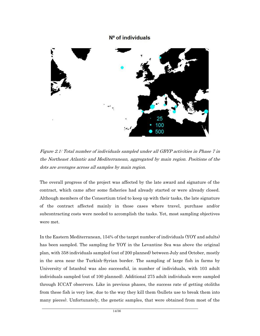#### N<sup>o</sup> of individuals



*Figure 2.1: Total number of individuals sampled under all GBYP activities in Phase 7 in the Northeast Atlantic and Mediterranean, aggregated by main region. Positions of the dots are averages across all samples by main region.*

The overall progress of the project was affected by the late award and signature of the contract, which came after some fisheries had already started or were already closed. Although members of the Consortium tried to keep up with their tasks, the late signature of the contract affected mainly in those cases where travel, purchase and/or subcontracting costs were needed to accomplish the tasks. Yet, most sampling objectives were met.

In the Eastern Mediterranean, 154% of the target number of individuals (YOY and adults) has been sampled. The sampling for YOY in the Levantine Sea was above the original plan, with 358 individuals sampled (out of 200 planned) between July and October, mostly in the area near the Turkish-Syrian border. The sampling of large fish in farms by University of Istanbul was also successful, in number of individuals, with 103 adult individuals sampled (out of 100 planned). Additional 275 adult individuals were sampled through ICCAT observers. Like in previous phases, the success rate of getting otoliths from these fish is very low, due to the way they kill them (bullets use to break them into many pieces). Unfortunately, the genetic samples, that were obtained from most of the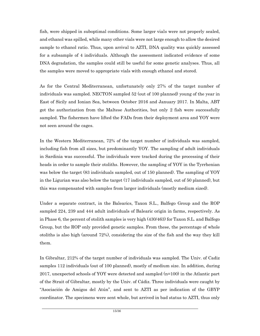fish, were shipped in suboptimal conditions. Some larger vials were not properly sealed, and ethanol was spilled, while many other vials were not large enough to allow the desired sample to ethanol ratio. Thus, upon arrival to AZTI, DNA quality was quickly assessed for a subsample of 4 individuals. Although the assessment indicated evidence of some DNA degradation, the samples could still be useful for some genetic analyses. Thus, all the samples were moved to appropriate vials with enough ethanol and stored.

As for the Central Mediterranean, unfortunately only 27% of the target number of individuals was sampled. NECTON sampled 52 (out of 100 planned) young of the year in East of Sicily and Ionian Sea, between October 2016 and January 2017. In Malta, ABT got the authorization from the Maltese Authorities, but only 2 fish were successfully sampled. The fishermen have lifted the FADs from their deployment area and YOY were not seen around the cages.

In the Western Mediterranean, 72% of the target number of individuals was sampled, including fish from all sizes, but predominantly YOY. The sampling of adult individuals in Sardinia was successful. The individuals were tracked during the processing of their heads in order to sample their otoliths. However, the sampling of YOY in the Tyrrhenian was below the target (83 individuals sampled, out of 150 planned). The sampling of YOY in the Ligurian was also below the target (17 individuals sampled, out of 50 planned), but this was compensated with samples from larger individuals (mostly medium sized).

Under a separate contract, in the Balearics, Taxon S.L., Balfego Group and the ROP sampled 224, 239 and 444 adult individuals of Balearic origin in farms, respectively. As in Phase 6, the percent of otolith samples is very high (430/463) for Taxon S.L. and Balfego Group, but the ROP only provided genetic samples. From these, the percentage of whole otoliths is also high (around 72%), considering the size of the fish and the way they kill them.

In Gibraltar, 212% of the target number of individuals was sampled. The Univ. of Cadiz samples 112 individuals (out of 100 planned), mostly of medium size. In addition, during 2017, unexpected schools of YOY were detected and sampled (n=100) in the Atlantic part of the Strait of Gibraltar, mostly by the Univ. of Cádiz. Three individuals were caught by "Asociación de Amigos del Atún", and sent to AZTI as per indication of the GBYP coordinator. The specimens were sent whole, but arrived in bad status to AZTI, thus only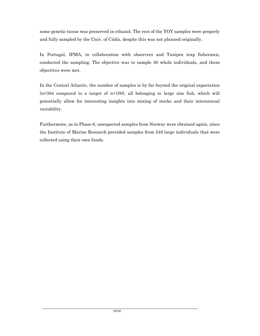some genetic tissue was preserved in ethanol. The rest of the YOY samples were properly and fully sampled by the Univ. of Cádiz, despite this was not planned originally.

In Portugal, IPMA, in collaboration with observers and Tunipex trap fishermen, conducted the sampling. The objective was to sample 30 whole individuals, and these objectives were met.

In the Central Atlantic, the number of samples is by far beyond the original expectation (n=384 compared to a target of n=100), all belonging to large size fish, which will potentially allow for interesting insights into mixing of stocks and their interannual variability.

Furthermore, as in Phase 6, unexpected samples from Norway were obtained again, since the Institute of Marine Research provided samples from 248 large individuals that were collected using their own funds.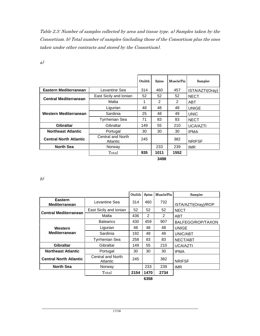*Table 2.3: Number of samples collected by area and tissue type. a) Samples taken by the Consortium. b) Total number of samples (including those of the Consortium plus the ones taken under other contracts and stored by the Consortium).*

| ٦<br>v<br>I | ł<br>I |
|-------------|--------|
| ×.          |        |

|                               |                               | Otolith | Spine | Muscle/Fin | Sampler         |
|-------------------------------|-------------------------------|---------|-------|------------|-----------------|
| Eastern Mediterranean         | Levantine Sea                 | 314     | 460   | 457        | ISTA/AZTI(Oray) |
| <b>Central Mediterranean</b>  | East Sicily and Ionian        | 52      | 52    | 52         | <b>NECT</b>     |
|                               | Malta                         | 1       | 2     | 2          | ABT             |
|                               | Ligurian                      | 48      | 48    | 48         | <b>UNIGE</b>    |
| Western Mediterranean         | Sardinia                      | 25      | 48    | 49         | <b>UNIC</b>     |
|                               | Tyrrhenian Sea                | 71      | 83    | 83         | <b>NECT</b>     |
| Gibraltar                     | Gibraltar                     | 149     | 55    | 210        | <b>UCA/AZTI</b> |
| <b>Northeast Atlantic</b>     | Portugal                      | 30      | 30    | 30         | <b>IPMA</b>     |
| <b>Central North Atlantic</b> | Central and North<br>Atlantic | 245     |       | 382        | <b>NRIFSF</b>   |
| <b>North Sea</b>              | Norway                        |         | 233   | 239        | <b>IMR</b>      |
|                               | Total                         | 935     | 1011  | 1552       |                 |
|                               |                               |         | 3498  |            |                 |

*b)*

|                                 |                               | Otolith | Spine | Muscle/Fin | Sampler             |
|---------------------------------|-------------------------------|---------|-------|------------|---------------------|
| Eastern<br><b>Mediterranean</b> | Levantine Sea                 | 314     | 460   | 732        | ISTA/AZTI(Oray)/ROP |
| <b>Central Mediterranean</b>    | East Sicily and Ionian        | 52      | 52    | 52         | <b>NECT</b>         |
|                                 | Malta                         | 436     | 2     | 2          | ABT                 |
|                                 | <b>Balearics</b>              | 430     | 459   | 907        | BALFEGO/ROP/TAXON   |
| Western                         | Ligurian                      | 48      | 48    | 48         | <b>UNIGE</b>        |
| <b>Mediterranean</b>            | Sardinia                      | 192     | 48    | 49         | UNIC/ABT            |
|                                 | <b>Tyrrhenian Sea</b>         | 258     | 83    | 83         | NECT/ABT            |
| <b>Gibraltar</b>                | Gibraltar                     | 149     | 55    | 210        | <b>UCA/AZTI</b>     |
| <b>Northeast Atlantic</b>       | Portugal                      | 30      | 30    | 30         | <b>IPMA</b>         |
| <b>Central North Atlantic</b>   | Central and North<br>Atlantic | 245     |       | 382        | <b>NRIFSF</b>       |
| <b>North Sea</b>                | Norway                        |         | 233   | 239        | IMR.                |
|                                 | Total                         | 2154    | 1470  | 2734       |                     |
|                                 |                               |         | 6358  |            |                     |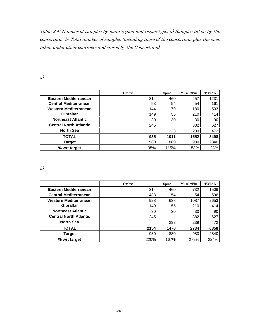*Table 2.4: Number of samples by main region and tissue type. a) Samples taken by the consortium. b) Total number of samples (including those of the consortium plus the ones taken under other contracts and stored by the Consortium).*

*a)*

|                               | Otolith | Spine | Muscle/Fin | <b>TOTAL</b> |
|-------------------------------|---------|-------|------------|--------------|
| <b>Eastern Mediterranean</b>  | 314     | 460   | 457        | 1231         |
| <b>Central Mediterranean</b>  | 53      | 54    | 54         | 161          |
| <b>Western Mediterranean</b>  | 144     | 179   | 180        | 503          |
| <b>Gibraltar</b>              | 149     | 55    | 210        | 414          |
| <b>Northeast Atlantic</b>     | 30      | 30    | 30         | 90           |
| <b>Central North Atlantic</b> | 245     |       | 382        | 627          |
| <b>North Sea</b>              |         | 233   | 239        | 472          |
| <b>TOTAL</b>                  | 935     | 1011  | 1552       | 3498         |
| <b>Target</b>                 | 980     | 880   | 980        | 2840         |
| % wrt target                  | 95%     | 115%  | 158%       | 123%         |

*b)*

|                               | Otolith | Spine | Muscle/Fin | <b>TOTAL</b> |
|-------------------------------|---------|-------|------------|--------------|
| Eastern Mediterranean         | 314     | 460   | 732        | 1506         |
| <b>Central Mediterranean</b>  | 488     | 54    | 54         | 596          |
| Western Mediterranean         | 928     | 638   | 1087       | 2653         |
| <b>Gibraltar</b>              | 149     | 55    | 210        | 414          |
| <b>Northeast Atlantic</b>     | 30      | 30    | 30         | 90           |
| <b>Central North Atlantic</b> | 245     |       | 382        | 627          |
| <b>North Sea</b>              |         | 233   | 239        | 472          |
| <b>TOTAL</b>                  | 2154    | 1470  | 2734       | 6358         |
| <b>Target</b>                 | 980     | 880   | 980        | 2840         |
| % wrt target                  | 220%    | 167%  | 279%       | 224%         |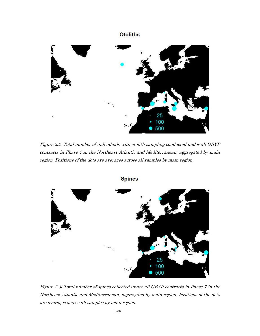## **Otoliths**



*Figure 2.2: Total number of individuals with otolith sampling conducted under all GBYP contracts in Phase 7 in the Northeast Atlantic and Mediterranean, aggregated by main region. Positions of the dots are averages across all samples by main region.*



*Figure 2.3: Total number of spines collected under all GBYP contracts in Phase 7 in the Northeast Atlantic and Mediterranean, aggregated by main region. Positions of the dots are averages across all samples by main region.*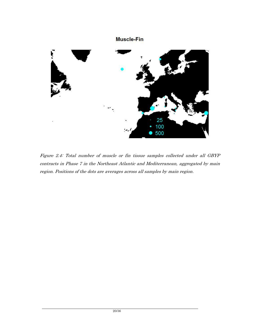

*Figure 2.4: Total number of muscle or fin tissue samples collected under all GBYP contracts in Phase 7 in the Northeast Atlantic and Mediterranean, aggregated by main region. Positions of the dots are averages across all samples by main region.*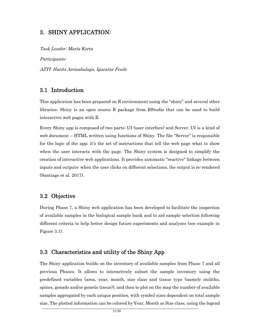#### **3. SHINY APPLICATION:**

*Task Leader: María Korta*

*Participants:*

*AZTI: Haritz Arrizabalaga, Igaratza Fraile*

#### **3.1 Introduction**

This application has been prepared on R environment using the "shiny" and several other libraries. Shiny is an open source R package from RStudio that can be used to build interactive web pages with R.

Every Shiny app is composed of two parts: UI (user interface) and Server. UI is a kind of web document – HTML written using functions of Shiny. The file "Server" is responsible for the logic of the app; it's the set of instructions that tell the web page what to show when the user interacts with the page. The Shiny system is designed to simplify the creation of interactive web applications. It provides automatic "reactive" linkage between inputs and outputs: when the user clicks on different selections, the output is re-rendered (Santiago et al. 2017).

#### **3.2 Objective**

During Phase 7, a Shiny web application has been developed to facilitate the inspection of available samples in the biological sample bank and to aid sample selection following different criteria to help better design future experiments and analyses (see example in Figure 3.1).

#### **3.3 Characteristics and utility of the Shiny App**

The Shiny application builds on the inventory of available samples from Phase 7 and all previous Phases. It allows to interactively subset the sample inventory using the predefined variables (area, year, month, size class and tissue type (namely otoliths, spines, gonads and/or genetic tissue)), and then to plot on the map the number of available samples aggregated by each unique position, with symbol sizes dependent on total sample size. The plotted information can be colored by Year, Month or Size class, using the legend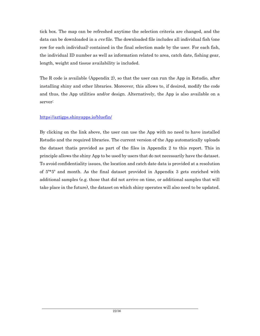tick box. The map can be refreshed anytime the selection criteria are changed, and the data can be downloaded in a *cvs* file. The downloaded file includes all individual fish (one row for each individual) contained in the final selection made by the user. For each fish, the individual ID number as well as information related to area, catch date, fishing gear, length, weight and tissue availability is included.

The R code is available (Appendix 2), so that the user can run the App in Rstudio, after installing shiny and other libraries. Moreover, this allows to, if desired, modify the code and thus, the App utilities and/or design. Alternatively, the App is also available on a server:

#### https://aztigps.shinyapps.io/bluefin/

By clicking on the link above, the user can use the App with no need to have installed Rstudio and the required libraries. The current version of the App automatically uploads the dataset thatis provided as part of the files in Appendix 2 to this report. This in principle allows the shiny App to be used by users that do not necessarily have the dataset. To avoid confidentiality issues, the location and catch date data is provided at a resolution of 5º\*5º and month. As the final dataset provided in Appendix 3 gets enriched with additional samples (e.g. those that did not arrive on time, or additional samples that will take place in the future), the dataset on which shiny operates will also need to be updated.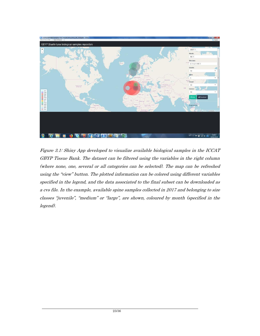

*Figure 3.1: Shiny App developed to visualize available biological samples in the ICCAT GBYP Tissue Bank. The dataset can be filtered using the variables in the right column (where none, one, several or all categories can be selected). The map can be refreshed using the "view" button. The plotted information can be colored using different variables specified in the legend, and the data associated to the final subset can be downloaded as a cvs file. In the example, available spine samples collected in 2017 and belonging to size classes "juvenile", "medium" or "large", are shown, coloured by month (specified in the legend).*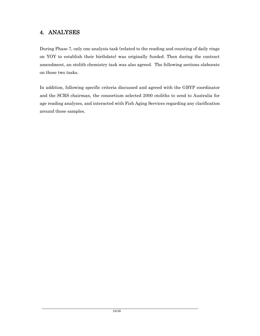## **4. ANALYSES**

During Phase 7, only one analysis task (related to the reading and counting of daily rings on YOY to establish their birthdate) was originally funded. Then during the contract amendment, an otolith chemistry task was also agreed. The following sections elaborate on those two tasks.

In addition, following specific criteria discussed and agreed with the GBYP coordinator and the SCRS chairman, the consortium selected 2000 otoliths to send to Australia for age reading analyses, and interacted with Fish Aging Services regarding any clarification around those samples.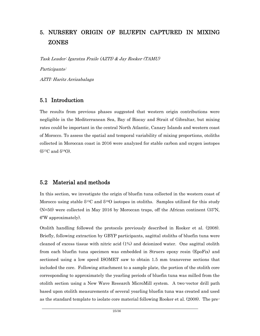## **5. NURSERY ORIGIN OF BLUEFIN CAPTURED IN MIXING ZONES**

*Task Leader: Igaratza Fraile (AZTI) & Jay Rooker (TAMU)*

*Participants:*

*AZTI: Haritz Arrizabalaga*

#### **5.1 Introduction**

The results from previous phases suggested that western origin contributions were negligible in the Mediterranean Sea, Bay of Biscay and Strait of Gibraltar, but mixing rates could be important in the central North Atlantic, Canary Islands and western coast of Morocco. To assess the spatial and temporal variability of mixing proportions, otoliths collected in Moroccan coast in 2016 were analyzed for stable carbon and oxygen isotopes (δ <sup>13</sup>C and δ <sup>18</sup>O).

#### **5.2 Material and methods**

In this section, we investigate the origin of bluefin tuna collected in the western coast of Morocco using stable  $\delta^{13}C$  and  $\delta^{18}O$  isotopes in otoliths. Samples utilized for this study (N=50) were collected in May 2016 by Moroccan traps, off the African continent (35ºN, 6ºW approximately).

Otolith handling followed the protocols previously described in Rooker et al. (2008). Briefly, following extraction by GBYP participants, sagittal otoliths of bluefin tuna were cleaned of excess tissue with nitric acid (1%) and deionized water. One sagittal otolith from each bluefin tuna specimen was embedded in Struers epoxy resin (EpoFix) and sectioned using a low speed ISOMET saw to obtain 1.5 mm transverse sections that included the core. Following attachment to a sample plate, the portion of the otolith core corresponding to approximately the yearling periods of bluefin tuna was milled from the otolith section using a New Wave Research MicroMill system. A two-vector drill path based upon otolith measurements of several yearling bluefin tuna was created and used as the standard template to isolate core material following Rooker et al. (2008). The pre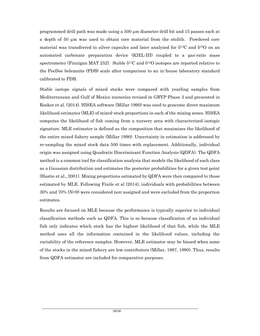programmed drill path was made using a 500 µm diameter drill bit and 15 passes each at a depth of 50 µm was used to obtain core material from the otolith. Powdered core material was transferred to silver capsules and later analyzed for  $\delta^{13}C$  and  $\delta^{18}O$  on an automated carbonate preparation device (KIEL-III) coupled to a gas-ratio mass spectrometer (Finnigan MAT 252). Stable δ<sup>13</sup>C and δ<sup>18</sup>O isotopes are reported relative to the PeeDee belemnite (PDB) scale after comparison to an in-house laboratory standard calibrated to PDB.

Stable isotope signals of mixed stocks were compared with yearling samples from Mediterranean and Gulf of Mexico nurseries revised in GBYP-Phase 3 and presented in Rooker et al. (2014). HISEA software (Millar 1990) was used to generate direct maximum likelihood estimates (MLE) of mixed-stock proportions in each of the mixing zones. HISEA computes the likelihood of fish coming from a nursery area with characterized isotopic signature. MLE estimator is defined as the composition that maximizes the likelihood of the entire mixed fishery sample (Millar 1990). Uncertainty in estimation is addressed by re-sampling the mixed stock data 500 times with replacement. Additionally, individual origin was assigned using Quadratic Discriminant Function Analysis (QDFA). The QDFA method is a common tool for classification analysis that models the likelihood of each class as a Gaussian distribution and estimates the posterior probabilities for a given test point (Hastie et al., 2001). Mixing proportions estimated by QDFA were then compared to those estimated by MLE. Following Fraile et al (2014), individuals with probabilities between 30% and 70% (N=9) were considered non-assigned and were excluded from the proportion estimates.

Results are focused on MLE because the performance is typically superior to individual classification methods such as QDFA. This is so because classification of an individual fish only indicates which stock has the highest likelihood of that fish, while the MLE method uses all the information contained in the likelihood values, including the variability of the reference samples. However, MLE estimator may be biased when some of the stocks in the mixed fishery are low contributors (Millar, 1987, 1990). Thus, results from QDFA estimator are included for comparative purposes.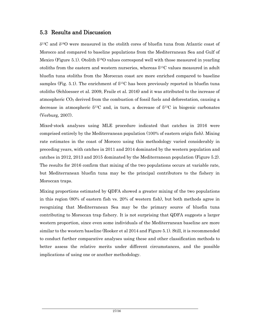### **5.3 Results and Discussion**

 $\delta^{13}$ C and  $\delta^{18}$ O were measured in the otolith cores of bluefin tuna from Atlantic coast of Morocco and compared to baseline populations from the Mediterranean Sea and Gulf of Mexico (Figure 5.1). Otolith  $\delta^{18}O$  values correspond well with those measured in yearling otoliths from the eastern and western nurseries, whereas  $\delta^{13}$ C values measured in adult bluefin tuna otoliths from the Moroccan coast are more enriched compared to baseline samples (Fig. 5.1). The enrichment of  $\delta^{13}$ C has been previously reported in bluefin tuna otoliths (Schloesser et al. 2009, Fraile et al. 2016) and it was attributed to the increase of atmospheric  $CO<sub>2</sub>$  derived from the combustion of fossil fuels and deforestation, causing a decrease in atmospheric  $\delta^{13}C$  and, in turn, a decrease of  $\delta^{13}C$  in biogenic carbonates (Verburg, 2007).

Mixed-stock analyses using MLE procedure indicated that catches in 2016 were comprised entirely by the Mediterranean population (100% of eastern origin fish). Mixing rate estimates in the coast of Morocco using this methodology varied considerably in preceding years, with catches in 2011 and 2014 dominated by the western population and catches in 2012, 2013 and 2015 dominated by the Mediterranean population (Figure 5.2). The results for 2016 confirm that mixing of the two populations occurs at variable rate, but Mediterranean bluefin tuna may be the principal contributors to the fishery in Moroccan traps.

Mixing proportions estimated by QDFA showed a greater mixing of the two populations in this region (80% of eastern fish vs. 20% of western fish), but both methods agree in recognizing that Mediterranean Sea may be the primary source of bluefin tuna contributing to Moroccan trap fishery. It is not surprising that QDFA suggests a larger western proportion, since even some individuals of the Mediterranean baseline are more similar to the western baseline (Rooker et al 2014 and Figure 5.1). Still, it is recommended to conduct further comparative analyses using these and other classification methods to better assess the relative merits under different circumstances, and the possible implications of using one or another methodology.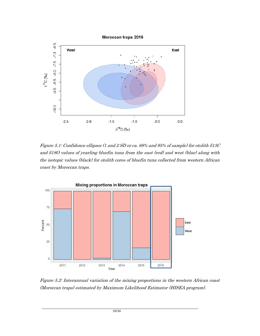

*Figure 5.1: Confidence ellipses (1 and 2 SD or ca. 68% and 95% of sample) for otolith δ13C and δ18O values of yearling bluefin tuna from the east (red) and west (blue) along with the isotopic values (black) for otolith cores of bluefin tuna collected from western African coast by Moroccan traps.*



*Figure 5.2: Interannual variation of the mixing proportions in the western African coast (Moroccan traps) estimated by Maximum Likelihood Estimator (HISEA program).*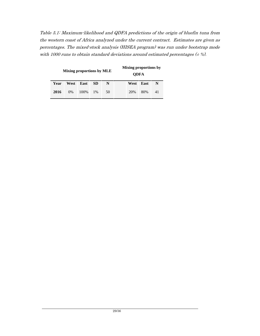*Table 5.1: Maximum-likelihood and QDFA predictions of the origin of bluefin tuna from the western coast of Africa analyzed under the current contract. Estimates are given as percentages. The mixed-stock analysis (HISEA program) was run under bootstrap mode with 1000 runs to obtain standard deviations around estimated percentages (± %).*

|      | Mixing proportions by MLE             |       |       |    |  | Mixing proportions by<br><b>ODFA</b> |           |    |
|------|---------------------------------------|-------|-------|----|--|--------------------------------------|-----------|----|
| Year | N<br><b>SD</b><br>West<br><b>East</b> |       |       |    |  |                                      | West East | N  |
| 2016 | $0\%$                                 | 100\% | $1\%$ | 50 |  | 20%                                  | 80%       | 41 |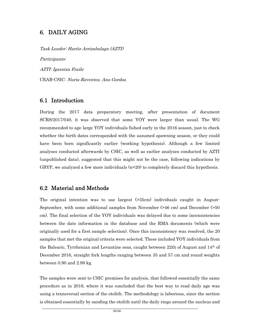### **6. DAILY AGING**

*Task Leader: Haritz Arrizabalaga (AZTI) Participants: AZTI: Igaratza Fraile* CEAB-CSIC: *Nuria Raventos, Ana Gordoa*

#### **6.1 Introduction**

During the 2017 data preparatory meeting, after presentation of document SCRS/2017/040, it was observed that some YOY were larger than usual. The WG recommended to age large YOY individuals fished early in the 2016 season, just to check whether the birth dates corresponded with the assumed spawning season, or they could have been born significantly earlier (working hypothesis). Although a few limited analyses conducted afterwards by CSIC, as well as earlier analyses conducted by AZTI (unpublished data), suggested that this might not be the case, following indications by GBYP, we analyzed a few more individuals (n=20) to completely discard this hypothesis.

#### **6.2 Material and Methods**

The original intention was to use largest (>35cm) individuals caught in August- September, with some additional samples from November (>46 cm) and December (>50 cm). The final selection of the YOY individuals was delayed due to some inconsistencies between the date information in the database and the RMA documents (which were originally used for a first sample selection). Once this inconsistency was resolved, the 20 samples that met the original criteria were selected. These included YOY individuals from the Balearic, Tyrrhenian and Levantine seas, caught between 22th of August and 14th of December 2016, straight fork lengths ranging between 35 and 57 cm and round weights between 0.90 and 2.98 kg.

The samples were sent to CSIC premises for analysis, that followed essentially the same procedure as in 2016, where it was concluded that the best way to read daily age was using a transversal section of the otolith. The methodology is laborious, since the section is obtained essentially by sanding the otolith until the daily rings around the nucleus and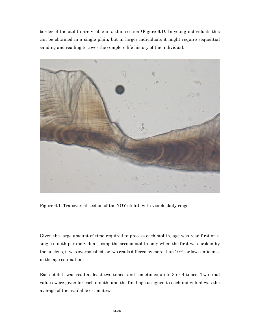border of the otolith are visible in a thin section (Figure 6.1). In young individuals this can be obtained in a single plain, but in larger individuals it might require sequential sanding and reading to cover the complete life history of the individual.



Figure 6.1. Transversal section of the YOY otolith with visible daily rings.

Given the large amount of time required to process each otolith, age was read first on a single otolith per individual, using the second otolith only when the first was broken by the nucleus, it was overpolished, or two reads differed by more than 10%, or low confidence in the age estimation.

Each otolith was read at least two times, and sometimes up to 3 or 4 times. Two final values were given for each otolith, and the final age assigned to each individual was the average of the available estimates.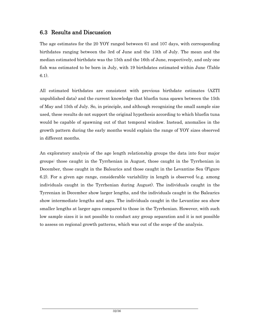### **6.3 Results and Discussion**

The age estimates for the 20 YOY ranged between 61 and 107 days, with corresponding birthdates ranging between the 3rd of June and the 13th of July. The mean and the median estimated birthdate was the 15th and the 16th of June, respectively, and only one fish was estimated to be born in July, with 19 birthdates estimated within June (Table 6.1).

All estimated birthdates are consistent with previous birthdate estimates (AZTI unpublished data) and the current knowledge that bluefin tuna spawn between the 15th of May and 15th of July. So, in principle, and although recognizing the small sample size used, these results do not support the original hypothesis according to which bluefin tuna would be capable of spawning out of that temporal window. Instead, anomalies in the growth pattern during the early months would explain the range of YOY sizes observed in different months.

An exploratory analysis of the age length relationship groups the data into four major groups: those caught in the Tyrrhenian in August, those caught in the Tyrrhenian in December, those caught in the Balearics and those caught in the Levantine Sea (Figure 6.2). For a given age range, considerable variability in length is observed (e.g. among individuals caught in the Tyrrhenian during August). The individuals caught in the Tyrrenian in December show larger lengths, and the individuals caught in the Balearics show intermediate lengths and ages. The individuals caught in the Levantine sea show smaller lengths at larger ages compared to those in the Tyrrhenian. However, with such low sample sizes it is not possible to conduct any group separation and it is not possible to assess on regional growth patterns, which was out of the scope of the analysis.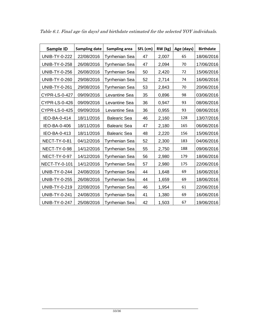| Sample ID            | <b>Sampling date</b> | Sampling area         | SFL (cm) | RW (kg) | Age (days) | <b>Birthdate</b> |
|----------------------|----------------------|-----------------------|----------|---------|------------|------------------|
| <b>UNIB-TY-0-222</b> | 22/08/2016           | Tyrrhenian Sea        | 47       | 2,007   | 65         | 18/06/2016       |
| <b>UNIB-TY-0-258</b> | 26/08/2016           | Tyrrhenian Sea        | 47       | 2,094   | 70         | 17/06/2016       |
| <b>UNIB-TY-0-256</b> | 26/08/2016           | <b>Tyrrhenian Sea</b> | 50       | 2,420   | 72         | 15/06/2016       |
| <b>UNIB-TY-0-260</b> | 29/08/2016           | Tyrrhenian Sea        | 52       | 2,714   | 74         | 16/06/2016       |
| <b>UNIB-TY-0-261</b> | 29/08/2016           | Tyrrhenian Sea        | 53       | 2,843   | 70         | 20/06/2016       |
| <b>CYPR-LS-0-427</b> | 09/09/2016           | Levantine Sea         | 35       | 0,896   | 98         | 03/06/2016       |
| <b>CYPR-LS-0-426</b> | 09/09/2016           | Levantine Sea         | 36       | 0,947   | 93         | 08/06/2016       |
| <b>CYPR-LS-0-425</b> | 09/09/2016           | Levantine Sea         | 36       | 0,955   | 93         | 08/06/2016       |
| IEO-BA-0-414         | 18/11/2016           | <b>Balearic Sea</b>   | 46       | 2,160   | 128        | 13/07/2016       |
| IEO-BA-0-406         | 18/11/2016           | <b>Balearic Sea</b>   | 47       | 2,180   | 165        | 06/06/2016       |
| IEO-BA-0-413         | 18/11/2016           | <b>Balearic Sea</b>   | 48       | 2,220   | 156        | 15/06/2016       |
| <b>NECT-TY-0-81</b>  | 04/12/2016           | Tyrrhenian Sea        | 52       | 2,300   | 183        | 04/06/2016       |
| NECT-TY-0-98         | 14/12/2016           | Tyrrhenian Sea        | 55       | 2,750   | 188        | 09/06/2016       |
| NECT-TY-0-97         | 14/12/2016           | Tyrrhenian Sea        | 56       | 2,980   | 179        | 18/06/2016       |
| NECT-TY-0-101        | 14/12/2016           | Tyrrhenian Sea        | 57       | 2,980   | 175        | 22/06/2016       |
| <b>UNIB-TY-0-244</b> | 24/08/2016           | <b>Tyrrhenian Sea</b> | 44       | 1,648   | 69         | 16/06/2016       |
| <b>UNIB-TY-0-255</b> | 26/08/2016           | Tyrrhenian Sea        | 44       | 1,659   | 69         | 18/06/2016       |
| <b>UNIB-TY-0-219</b> | 22/08/2016           | Tyrrhenian Sea        | 46       | 1,954   | 61         | 22/06/2016       |
| <b>UNIB-TY-0-241</b> | 24/08/2016           | Tyrrhenian Sea        | 41       | 1,380   | 69         | 16/06/2016       |
| <b>UNIB-TY-0-247</b> | 25/08/2016           | <b>Tyrrhenian Sea</b> | 42       | 1,503   | 67         | 19/06/2016       |

*Table 6.1. Final age (in days) and birthdate estimated for the selected YOY individuals.*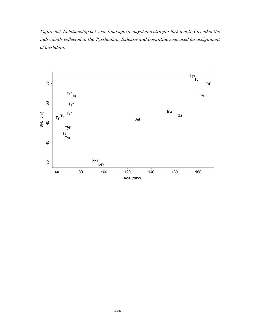*Figure 6.2. Relationship between final age (in days) and straight fork length (in cm) of the individuals collected in the Tyrrhenian, Balearic and Levantine seas used for assignment of birthdate.*

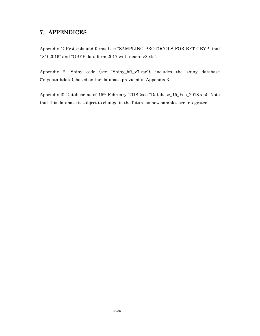## **7. APPENDICES**

Appendix 1: Protocols and forms (see "SAMPLING PROTOCOLS FOR BFT GBYP final 18102016" and "GBYP data form 2017 with macro v2.xls".

Appendix 2: Shiny code (see "Shiny\_bft\_v7.rar"), includes the shiny database ("mydata.Rdata), based on the database provided in Appendix 3.

Appendix 3: Database as of 15th February 2018 (see "Database\_15\_Feb\_2018.xls). Note that this database is subject to change in the future as new samples are integrated.